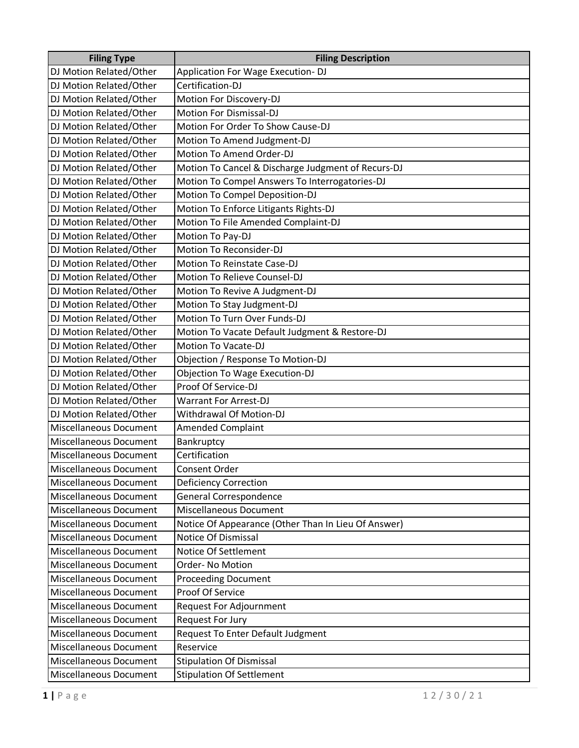| DJ Motion Related/Other<br>Application For Wage Execution-DJ<br>DJ Motion Related/Other<br>Certification-DJ |  |
|-------------------------------------------------------------------------------------------------------------|--|
|                                                                                                             |  |
|                                                                                                             |  |
| DJ Motion Related/Other<br>Motion For Discovery-DJ                                                          |  |
| Motion For Dismissal-DJ<br>DJ Motion Related/Other                                                          |  |
| DJ Motion Related/Other<br>Motion For Order To Show Cause-DJ                                                |  |
| DJ Motion Related/Other<br>Motion To Amend Judgment-DJ                                                      |  |
| DJ Motion Related/Other<br>Motion To Amend Order-DJ                                                         |  |
| DJ Motion Related/Other<br>Motion To Cancel & Discharge Judgment of Recurs-DJ                               |  |
| DJ Motion Related/Other<br>Motion To Compel Answers To Interrogatories-DJ                                   |  |
| Motion To Compel Deposition-DJ<br>DJ Motion Related/Other                                                   |  |
| Motion To Enforce Litigants Rights-DJ<br>DJ Motion Related/Other                                            |  |
| DJ Motion Related/Other<br>Motion To File Amended Complaint-DJ                                              |  |
| DJ Motion Related/Other<br>Motion To Pay-DJ                                                                 |  |
| DJ Motion Related/Other<br>Motion To Reconsider-DJ                                                          |  |
| DJ Motion Related/Other<br>Motion To Reinstate Case-DJ                                                      |  |
| DJ Motion Related/Other<br>Motion To Relieve Counsel-DJ                                                     |  |
| DJ Motion Related/Other<br>Motion To Revive A Judgment-DJ                                                   |  |
| Motion To Stay Judgment-DJ<br>DJ Motion Related/Other                                                       |  |
| Motion To Turn Over Funds-DJ<br>DJ Motion Related/Other                                                     |  |
| DJ Motion Related/Other<br>Motion To Vacate Default Judgment & Restore-DJ                                   |  |
| DJ Motion Related/Other<br><b>Motion To Vacate-DJ</b>                                                       |  |
| DJ Motion Related/Other<br>Objection / Response To Motion-DJ                                                |  |
| Objection To Wage Execution-DJ<br>DJ Motion Related/Other                                                   |  |
| DJ Motion Related/Other<br>Proof Of Service-DJ                                                              |  |
| DJ Motion Related/Other<br><b>Warrant For Arrest-DJ</b>                                                     |  |
| DJ Motion Related/Other<br>Withdrawal Of Motion-DJ                                                          |  |
| Miscellaneous Document<br><b>Amended Complaint</b>                                                          |  |
| Miscellaneous Document<br>Bankruptcy                                                                        |  |
| Certification<br>Miscellaneous Document                                                                     |  |
| Miscellaneous Document<br>Consent Order                                                                     |  |
| Miscellaneous Document<br><b>Deficiency Correction</b>                                                      |  |
| Miscellaneous Document<br>General Correspondence                                                            |  |
| Miscellaneous Document<br>Miscellaneous Document                                                            |  |
| Miscellaneous Document<br>Notice Of Appearance (Other Than In Lieu Of Answer)                               |  |
| <b>Notice Of Dismissal</b><br>Miscellaneous Document                                                        |  |
| Notice Of Settlement<br>Miscellaneous Document                                                              |  |
| Miscellaneous Document<br>Order-No Motion                                                                   |  |
| <b>Miscellaneous Document</b><br><b>Proceeding Document</b>                                                 |  |
| Proof Of Service<br>Miscellaneous Document                                                                  |  |
| Miscellaneous Document<br><b>Request For Adjournment</b>                                                    |  |
| Miscellaneous Document<br>Request For Jury                                                                  |  |
| Miscellaneous Document<br>Request To Enter Default Judgment                                                 |  |
| Miscellaneous Document<br>Reservice                                                                         |  |
| Miscellaneous Document<br><b>Stipulation Of Dismissal</b>                                                   |  |
| <b>Stipulation Of Settlement</b><br>Miscellaneous Document                                                  |  |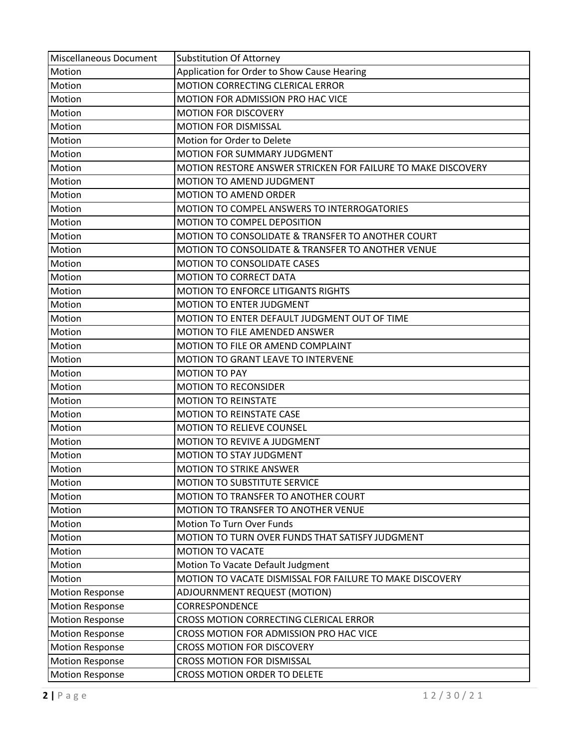| <b>Miscellaneous Document</b> | <b>Substitution Of Attorney</b>                              |
|-------------------------------|--------------------------------------------------------------|
| Motion                        | Application for Order to Show Cause Hearing                  |
| Motion                        | MOTION CORRECTING CLERICAL ERROR                             |
| Motion                        | MOTION FOR ADMISSION PRO HAC VICE                            |
| Motion                        | <b>MOTION FOR DISCOVERY</b>                                  |
| Motion                        | <b>MOTION FOR DISMISSAL</b>                                  |
| Motion                        | Motion for Order to Delete                                   |
| Motion                        | MOTION FOR SUMMARY JUDGMENT                                  |
| Motion                        | MOTION RESTORE ANSWER STRICKEN FOR FAILURE TO MAKE DISCOVERY |
| Motion                        | <b>MOTION TO AMEND JUDGMENT</b>                              |
| Motion                        | <b>MOTION TO AMEND ORDER</b>                                 |
| Motion                        | MOTION TO COMPEL ANSWERS TO INTERROGATORIES                  |
| Motion                        | MOTION TO COMPEL DEPOSITION                                  |
| Motion                        | MOTION TO CONSOLIDATE & TRANSFER TO ANOTHER COURT            |
| Motion                        | MOTION TO CONSOLIDATE & TRANSFER TO ANOTHER VENUE            |
| Motion                        | <b>MOTION TO CONSOLIDATE CASES</b>                           |
| Motion                        | <b>MOTION TO CORRECT DATA</b>                                |
| Motion                        | <b>MOTION TO ENFORCE LITIGANTS RIGHTS</b>                    |
| Motion                        | <b>MOTION TO ENTER JUDGMENT</b>                              |
| Motion                        | MOTION TO ENTER DEFAULT JUDGMENT OUT OF TIME                 |
| Motion                        | MOTION TO FILE AMENDED ANSWER                                |
| Motion                        | MOTION TO FILE OR AMEND COMPLAINT                            |
| Motion                        | MOTION TO GRANT LEAVE TO INTERVENE                           |
| Motion                        | <b>MOTION TO PAY</b>                                         |
| Motion                        | <b>MOTION TO RECONSIDER</b>                                  |
| Motion                        | <b>MOTION TO REINSTATE</b>                                   |
| Motion                        | <b>MOTION TO REINSTATE CASE</b>                              |
| Motion                        | <b>MOTION TO RELIEVE COUNSEL</b>                             |
| Motion                        | MOTION TO REVIVE A JUDGMENT                                  |
| Motion                        | MOTION TO STAY JUDGMENT                                      |
| Motion                        | <b>MOTION TO STRIKE ANSWER</b>                               |
| Motion                        | MOTION TO SUBSTITUTE SERVICE                                 |
| Motion                        | MOTION TO TRANSFER TO ANOTHER COURT                          |
| Motion                        | MOTION TO TRANSFER TO ANOTHER VENUE                          |
| Motion                        | Motion To Turn Over Funds                                    |
| Motion                        | MOTION TO TURN OVER FUNDS THAT SATISFY JUDGMENT              |
| Motion                        | <b>MOTION TO VACATE</b>                                      |
| Motion                        | Motion To Vacate Default Judgment                            |
| Motion                        | MOTION TO VACATE DISMISSAL FOR FAILURE TO MAKE DISCOVERY     |
| <b>Motion Response</b>        | ADJOURNMENT REQUEST (MOTION)                                 |
| <b>Motion Response</b>        | CORRESPONDENCE                                               |
| <b>Motion Response</b>        | CROSS MOTION CORRECTING CLERICAL ERROR                       |
| <b>Motion Response</b>        | CROSS MOTION FOR ADMISSION PRO HAC VICE                      |
| <b>Motion Response</b>        | <b>CROSS MOTION FOR DISCOVERY</b>                            |
| <b>Motion Response</b>        | <b>CROSS MOTION FOR DISMISSAL</b>                            |
| <b>Motion Response</b>        | CROSS MOTION ORDER TO DELETE                                 |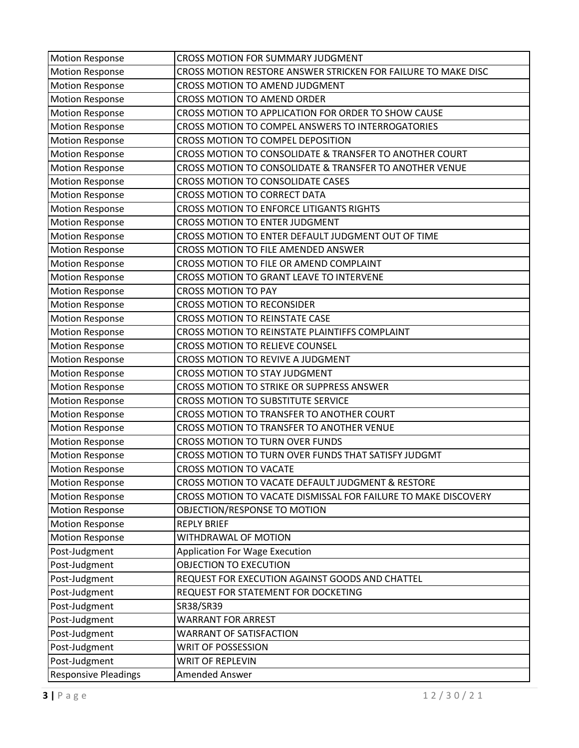| <b>Motion Response</b>      | CROSS MOTION FOR SUMMARY JUDGMENT                              |
|-----------------------------|----------------------------------------------------------------|
| <b>Motion Response</b>      | CROSS MOTION RESTORE ANSWER STRICKEN FOR FAILURE TO MAKE DISC  |
| <b>Motion Response</b>      | CROSS MOTION TO AMEND JUDGMENT                                 |
| <b>Motion Response</b>      | CROSS MOTION TO AMEND ORDER                                    |
| <b>Motion Response</b>      | CROSS MOTION TO APPLICATION FOR ORDER TO SHOW CAUSE            |
| <b>Motion Response</b>      | CROSS MOTION TO COMPEL ANSWERS TO INTERROGATORIES              |
| <b>Motion Response</b>      | CROSS MOTION TO COMPEL DEPOSITION                              |
| <b>Motion Response</b>      | CROSS MOTION TO CONSOLIDATE & TRANSFER TO ANOTHER COURT        |
| <b>Motion Response</b>      | CROSS MOTION TO CONSOLIDATE & TRANSFER TO ANOTHER VENUE        |
| <b>Motion Response</b>      | CROSS MOTION TO CONSOLIDATE CASES                              |
| <b>Motion Response</b>      | CROSS MOTION TO CORRECT DATA                                   |
| <b>Motion Response</b>      | CROSS MOTION TO ENFORCE LITIGANTS RIGHTS                       |
| <b>Motion Response</b>      | CROSS MOTION TO ENTER JUDGMENT                                 |
| <b>Motion Response</b>      | CROSS MOTION TO ENTER DEFAULT JUDGMENT OUT OF TIME             |
| <b>Motion Response</b>      | CROSS MOTION TO FILE AMENDED ANSWER                            |
| <b>Motion Response</b>      | CROSS MOTION TO FILE OR AMEND COMPLAINT                        |
| <b>Motion Response</b>      | CROSS MOTION TO GRANT LEAVE TO INTERVENE                       |
| <b>Motion Response</b>      | <b>CROSS MOTION TO PAY</b>                                     |
| <b>Motion Response</b>      | <b>CROSS MOTION TO RECONSIDER</b>                              |
| <b>Motion Response</b>      | CROSS MOTION TO REINSTATE CASE                                 |
| <b>Motion Response</b>      | CROSS MOTION TO REINSTATE PLAINTIFFS COMPLAINT                 |
| <b>Motion Response</b>      | CROSS MOTION TO RELIEVE COUNSEL                                |
| <b>Motion Response</b>      | CROSS MOTION TO REVIVE A JUDGMENT                              |
| <b>Motion Response</b>      | CROSS MOTION TO STAY JUDGMENT                                  |
| <b>Motion Response</b>      | CROSS MOTION TO STRIKE OR SUPPRESS ANSWER                      |
| <b>Motion Response</b>      | <b>CROSS MOTION TO SUBSTITUTE SERVICE</b>                      |
| <b>Motion Response</b>      | CROSS MOTION TO TRANSFER TO ANOTHER COURT                      |
| <b>Motion Response</b>      | CROSS MOTION TO TRANSFER TO ANOTHER VENUE                      |
| <b>Motion Response</b>      | <b>CROSS MOTION TO TURN OVER FUNDS</b>                         |
| <b>Motion Response</b>      | CROSS MOTION TO TURN OVER FUNDS THAT SATISFY JUDGMT            |
| <b>Motion Response</b>      | <b>CROSS MOTION TO VACATE</b>                                  |
| <b>Motion Response</b>      | CROSS MOTION TO VACATE DEFAULT JUDGMENT & RESTORE              |
| <b>Motion Response</b>      | CROSS MOTION TO VACATE DISMISSAL FOR FAILURE TO MAKE DISCOVERY |
| <b>Motion Response</b>      | OBJECTION/RESPONSE TO MOTION                                   |
| <b>Motion Response</b>      | <b>REPLY BRIEF</b>                                             |
| <b>Motion Response</b>      | WITHDRAWAL OF MOTION                                           |
| Post-Judgment               | <b>Application For Wage Execution</b>                          |
| Post-Judgment               | OBJECTION TO EXECUTION                                         |
| Post-Judgment               | REQUEST FOR EXECUTION AGAINST GOODS AND CHATTEL                |
| Post-Judgment               | REQUEST FOR STATEMENT FOR DOCKETING                            |
| Post-Judgment               | SR38/SR39                                                      |
| Post-Judgment               | <b>WARRANT FOR ARREST</b>                                      |
| Post-Judgment               | <b>WARRANT OF SATISFACTION</b>                                 |
| Post-Judgment               | WRIT OF POSSESSION                                             |
| Post-Judgment               | <b>WRIT OF REPLEVIN</b>                                        |
| <b>Responsive Pleadings</b> | Amended Answer                                                 |
|                             |                                                                |